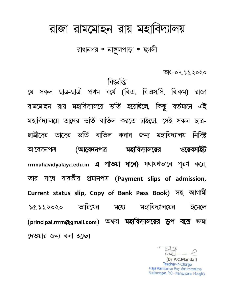## রাজা রামমোহন রায় মহাবিদ্যালয়

রাধানগর \* নাঙ্গুলপাড়া \* হুগলী

তাং-০৭.১১.২০২০

।বজ্ঞাপ্<mark>ব</mark> বৰ্ষে (বি.এ, বি.এস.সি, বি.কম) ছাত্ৰ-ছাত্ৰী প্ৰথম সকল রাজা য়ে রায় মহাবিদ্যালয়ে ভর্তি হয়েছিলে, কিন্তু বর্তমানে এই রামমোহন মহাবিদ্যালয়ে তাদের ভর্তি বাতিল করতে চাইছো, সেই সকল ছাত্র-্তাদের ভর্তি বাতিল করার জন্য মহাবিদ্যালয় ছাত্রীদের নিৰ্দিষ্ট মহাবিদ্যালয়ের (আবেদনপত্ৰ ওয়েবসাইট আবেদনপত্ৰ rrrmahavidyalaya.edu.in এ পাওয়া যাবে) যথাযথভাবে পূরণ করে সাথে যাবতীয় প্ৰমানপত্ৰ (Payment slips of admission, তার Current status slip, Copy of Bank Pass Book) সহ আগামী তারিখের মহাবিদ্যালয়ের ইমেলে  $50.552020$ মগ্নে (principal.rrrm@gmail.com) অথবা মহাবিদ্যালয়ের ড্রপ বক্সে জমা দেওয়ার জন্য বলা হচ্ছে।

(Dr P.C.Mandal) Teacher-In-Charge Raja Rammohun Roy Mahavidyalaya Radhanagar, P.O.- Nangulpara, Hooghly